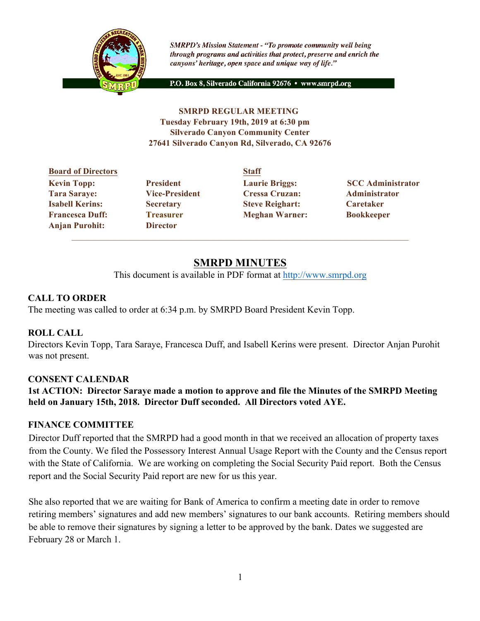

**SMRPD's Mission Statement - "To promote community well being** through programs and activities that protect, preserve and enrich the canyons' heritage, open space and unique way of life."

P.O. Box 8, Silverado California 92676 · www.smrpd.org

#### **SMRPD REGULAR MEETING Tuesday February 19th, 2019 at 6:30 pm Silverado Canyon Community Center 27641 Silverado Canyon Rd, Silverado, CA 92676**

#### **Board of Directors Staff Kevin Topp:** President Laurie Briggs: SCC Administrator **CC Tara Saraye: Vice-President Cressa Cruzan: Administrator Isabell Kerins: Secretary Steve Reighart: Caretaker Francesca Duff: Treasurer Meghan Warner: Bookkeeper Anjan Purohit: Director**

# **SMRPD MINUTES**

This document is available in PDF format at http://www.smrpd.org

# **CALL TO ORDER**

The meeting was called to order at 6:34 p.m. by SMRPD Board President Kevin Topp.

## **ROLL CALL**

Directors Kevin Topp, Tara Saraye, Francesca Duff, and Isabell Kerins were present. Director Anjan Purohit was not present.

## **CONSENT CALENDAR**

**1st ACTION: Director Saraye made a motion to approve and file the Minutes of the SMRPD Meeting held on January 15th, 2018. Director Duff seconded. All Directors voted AYE.**

## **FINANCE COMMITTEE**

Director Duff reported that the SMRPD had a good month in that we received an allocation of property taxes from the County. We filed the Possessory Interest Annual Usage Report with the County and the Census report with the State of California. We are working on completing the Social Security Paid report. Both the Census report and the Social Security Paid report are new for us this year.

She also reported that we are waiting for Bank of America to confirm a meeting date in order to remove retiring members' signatures and add new members' signatures to our bank accounts. Retiring members should be able to remove their signatures by signing a letter to be approved by the bank. Dates we suggested are February 28 or March 1.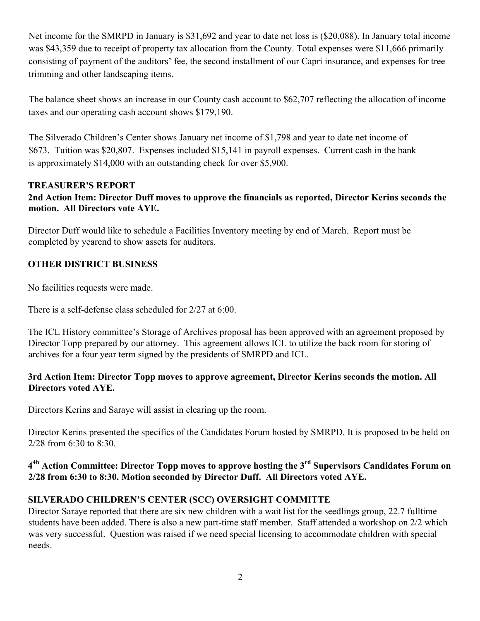Net income for the SMRPD in January is \$31,692 and year to date net loss is (\$20,088). In January total income was \$43,359 due to receipt of property tax allocation from the County. Total expenses were \$11,666 primarily consisting of payment of the auditors' fee, the second installment of our Capri insurance, and expenses for tree trimming and other landscaping items.

The balance sheet shows an increase in our County cash account to \$62,707 reflecting the allocation of income taxes and our operating cash account shows \$179,190.

The Silverado Children's Center shows January net income of \$1,798 and year to date net income of \$673. Tuition was \$20,807. Expenses included \$15,141 in payroll expenses. Current cash in the bank is approximately \$14,000 with an outstanding check for over \$5,900.

#### **TREASURER'S REPORT**

#### **2nd Action Item: Director Duff moves to approve the financials as reported, Director Kerins seconds the motion. All Directors vote AYE.**

Director Duff would like to schedule a Facilities Inventory meeting by end of March. Report must be completed by yearend to show assets for auditors.

#### **OTHER DISTRICT BUSINESS**

No facilities requests were made.

There is a self-defense class scheduled for 2/27 at 6:00.

The ICL History committee's Storage of Archives proposal has been approved with an agreement proposed by Director Topp prepared by our attorney. This agreement allows ICL to utilize the back room for storing of archives for a four year term signed by the presidents of SMRPD and ICL.

#### **3rd Action Item: Director Topp moves to approve agreement, Director Kerins seconds the motion. All Directors voted AYE.**

Directors Kerins and Saraye will assist in clearing up the room.

Director Kerins presented the specifics of the Candidates Forum hosted by SMRPD. It is proposed to be held on 2/28 from 6:30 to 8:30.

## **44h Action Committee: Director Topp moves to approve hosting the 3rd Supervisors Candidates Forum on 2/28 from 6:30 to 8:30. Motion seconded by Director Duff. All Directors voted AYE.**

## **SILVERADO CHILDREN'S CENTER (SCC) OVERSIGHT COMMITTE**

Director Saraye reported that there are six new children with a wait list for the seedlings group, 22.7 fulltime students have been added. There is also a new part-time staff member. Staff attended a workshop on 2/2 which was very successful. Question was raised if we need special licensing to accommodate children with special needs.